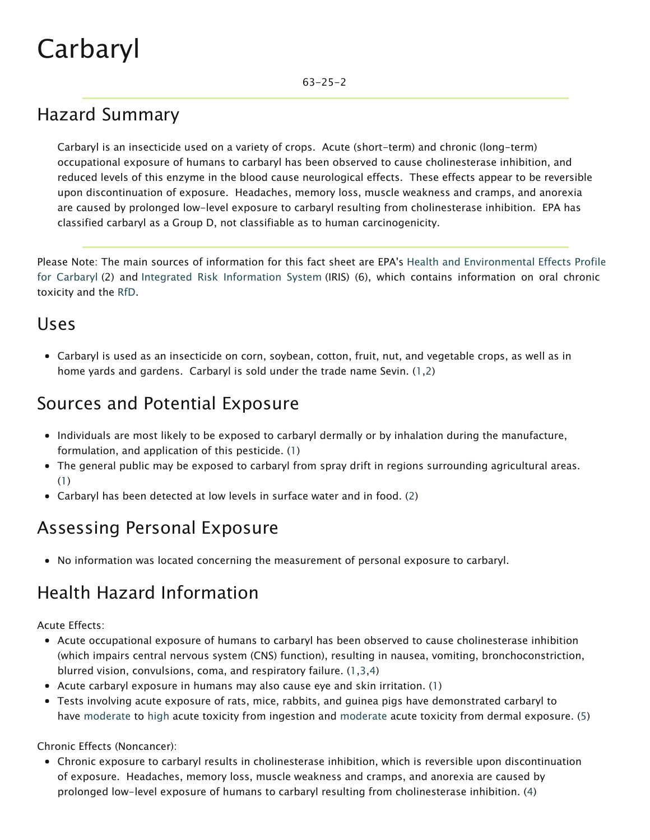# Carbaryl

#### Hazard Summary

Carbaryl is an insecticide used on a variety of crops. Acute (short-term) and chronic (long-term) occupational exposure of humans to carbaryl has been observed to cause cholinesterase inhibition, and reduced levels of this enzyme in the blood cause neurological effects. These effects appear to be reversible upon discontinuation of exposure. Headaches, memory loss, muscle weakness and cramps, and anorexia are caused by prolonged low-level exposure to carbaryl resulting from cholinesterase inhibition. EPA has classified carbaryl as a Group D, not classifiable as to human carcinogenicity.

Please Note: The main sources of information for this fact sheet are EPA's Health and Environmental Effects Profile for Carbaryl (2) and Integrated Risk Information System (IRIS) (6), which contains information on oral chronic toxicity and the [RfD.](https://www.epa.gov/haps/health-effects-notebook-glossary)

#### Uses

Carbaryl is used as an insecticide on corn, soybean, cotton, fruit, nut, and vegetable crops, as well as in home yards and gardens. Carbaryl is sold under the trade name Sevin. (1,2)

#### Sources and Potential Exposure

- Individuals are most likely to be exposed to carbaryl dermally or by inhalation during the manufacture, formulation, and application of this pesticide. (1)
- The general public may be exposed to carbaryl from spray drift in regions surrounding agricultural areas. (1)
- Carbaryl has been detected at low levels in surface water and in food. (2)

### Assessing Personal Exposure

• No information was located concerning the measurement of personal exposure to carbaryl.

## Health Hazard Information

Acute Effects:

- Acute occupational exposure of humans to carbaryl has been observed to cause cholinesterase inhibition (which impairs central nervous system (CNS) function), resulting in nausea, vomiting, bronchoconstriction, blurred vision, convulsions, coma, and respiratory failure. (1,3,4)
- Acute carbaryl exposure in humans may also cause eye and skin irritation. (1)
- Tests involving acute exposure of rats, mice, rabbits, and guinea pigs have demonstrated carbaryl to have [moderate](https://www.epa.gov/haps/about-health-effects-fact-sheets) to [high](https://www.epa.gov/haps/about-health-effects-fact-sheets) acute toxicity from ingestion and [moderate](https://www.epa.gov/haps/about-health-effects-fact-sheets) acute toxicity from dermal exposure. (5)

Chronic Effects (Noncancer):

Chronic exposure to carbaryl results in cholinesterase inhibition, which is reversible upon discontinuation of exposure. Headaches, memory loss, muscle weakness and cramps, and anorexia are caused by prolonged low-level exposure of humans to carbaryl resulting from cholinesterase inhibition. (4)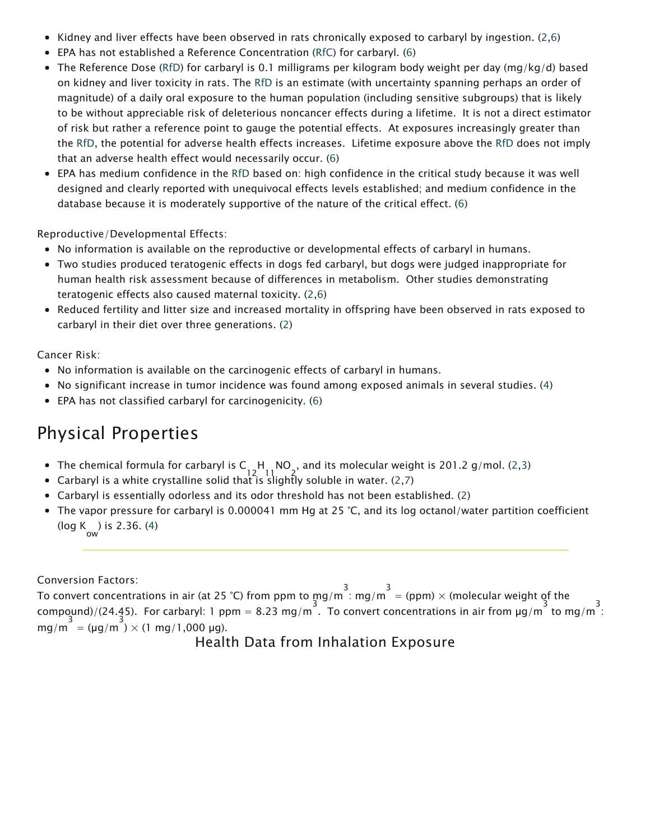- Kidney and liver effects have been observed in rats chronically exposed to carbaryl by ingestion.  $(2,6)$
- EPA has not established a Reference Concentration ([RfC\)](https://www.epa.gov/haps/health-effects-notebook-glossary) for carbaryl. (6)
- The Reference Dose [\(RfD\)](https://www.epa.gov/haps/health-effects-notebook-glossary) for carbaryl is 0.1 milligrams per kilogram body weight per day (mg/kg/d) based on kidney and liver toxicity in rats. The [RfD](https://www.epa.gov/haps/health-effects-notebook-glossary) is an estimate (with uncertainty spanning perhaps an order of magnitude) of a daily oral exposure to the human population (including sensitive subgroups) that is likely to be without appreciable risk of deleterious noncancer effects during a lifetime. It is not a direct estimator of risk but rather a reference point to gauge the potential effects. At exposures increasingly greater than the [RfD,](https://www.epa.gov/haps/health-effects-notebook-glossary) the potential for adverse health effects increases. Lifetime exposure above the [RfD](https://www.epa.gov/haps/health-effects-notebook-glossary) does not imply that an adverse health effect would necessarily occur. (6)
- EPA has medium confidence in the [RfD](https://www.epa.gov/haps/health-effects-notebook-glossary) based on: high confidence in the critical study because it was well designed and clearly reported with unequivocal effects levels established; and medium confidence in the database because it is moderately supportive of the nature of the critical effect. (6)

Reproductive/Developmental Effects:

- No information is available on the reproductive or developmental effects of carbaryl in humans.
- Two studies produced teratogenic effects in dogs fed carbaryl, but dogs were judged inappropriate for human health risk assessment because of differences in metabolism. Other studies demonstrating teratogenic effects also caused maternal toxicity. (2,6)
- Reduced fertility and litter size and increased mortality in offspring have been observed in rats exposed to carbaryl in their diet over three generations. (2)

Cancer Risk:

- No information is available on the carcinogenic effects of carbaryl in humans.
- No significant increase in tumor incidence was found among exposed animals in several studies. (4)
- EPA has not classified carbaryl for carcinogenicity. (6)

### Physical Properties

- The chemical formula for carbaryl is C  $\leftarrow$  H  $\leftarrow$  NO , and its molecular weight is 201.2 g/mol. (2,3)
- Carbaryl is a white crystalline solid that is slightly soluble in water. (2,7)
- Carbaryl is essentially odorless and its odor threshold has not been established. (2)
- The vapor pressure for carbaryl is 0.000041 mm Hg at 25 °C, and its log octanol/water partition coefficient ( $log K$  ) is 2.36. (4)

Conversion Factors:

To convert concentrations in air (at 25 °C) from ppm to  $\frac{3}{m}$  : mg/m  $\frac{3}{m}$  = (ppm)  $\times$  (molecular weight of the compound)/(24.45). For carbaryl: 1 ppm = 8.23 mg/m<sup>3</sup>. To convert concentrations in air from  $\mu$ g/m<sup>3</sup> to mg/m<sup>3</sup>:  $mg/m = (\mu g/m) \times (1 mg/1,000 \mu g).$ 

Health Data from Inhalation Exposure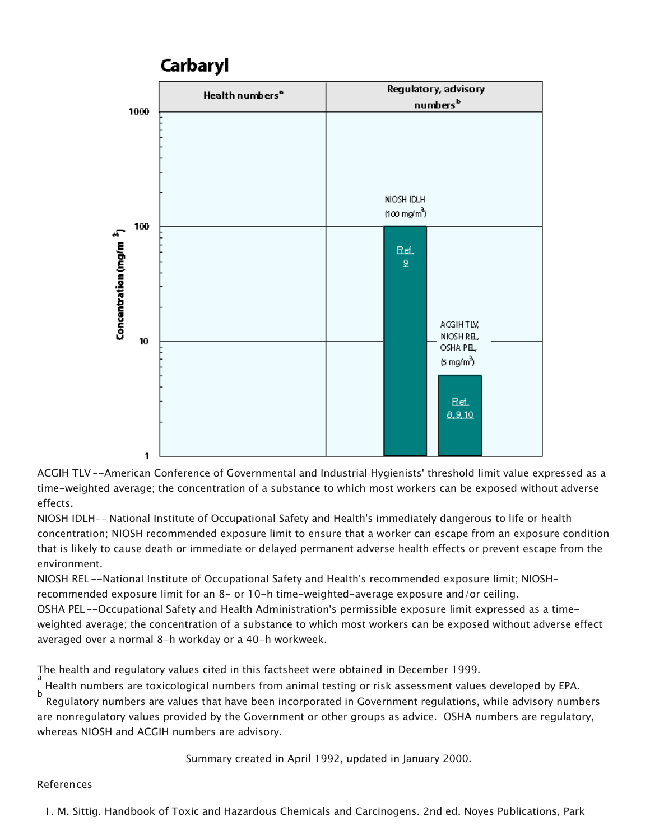#### Carbaryl



ACGIH TLV --American Conference of Governmental and Industrial Hygienists' threshold limit value expressed as a time-weighted average; the concentration of a substance to which most workers can be exposed without adverse effects.

NIOSH IDLH-- National Institute of Occupational Safety and Health's immediately dangerous to life or health concentration; NIOSH recommended exposure limit to ensure that a worker can escape from an exposure condition that is likely to cause death or immediate or delayed permanent adverse health effects or prevent escape from the environment.

NIOSH REL --National Institute of Occupational Safety and Health's recommended exposure limit; NIOSHrecommended exposure limit for an 8- or 10-h time-weighted-average exposure and/or ceiling.

OSHA PEL--Occupational Safety and Health Administration's permissible exposure limit expressed as a timeweighted average; the concentration of a substance to which most workers can be exposed without adverse effect averaged over a normal 8-h workday or a 40-h workweek.

The health and regulatory values cited in this factsheet were obtained in December 1999.

a Health numbers are toxicological numbers from animal testing or risk assessment values developed by EPA. b

 Regulatory numbers are values that have been incorporated in Government regulations, while advisory numbers are nonregulatory values provided by the Government or other groups as advice. OSHA numbers are regulatory, whereas NIOSH and ACGIH numbers are advisory.

Summary created in April 1992, updated in January 2000.

#### References

1. M. Sittig. Handbook of Toxic and Hazardous Chemicals and Carcinogens. 2nd ed. Noyes Publications, Park